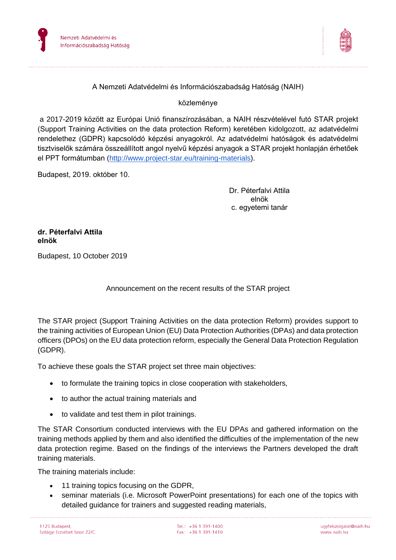



## A Nemzeti Adatvédelmi és Információszabadság Hatóság (NAIH)

## közleménye

a 2017-2019 között az Európai Unió finanszírozásában, a NAIH részvételével futó STAR projekt (Support Training Activities on the data protection Reform) keretében kidolgozott, az adatvédelmi rendelethez (GDPR) kapcsolódó képzési anyagokról. Az adatvédelmi hatóságok és adatvédelmi tisztviselők számára összeállított angol nyelvű képzési anyagok a STAR projekt honlapján érhetőek el PPT formátumban [\(http://www.project-star.eu/training-materials\)](http://www.project-star.eu/training-materials).

Budapest, 2019. október 10.

Dr. Péterfalvi Attila elnök c. egyetemi tanár

**dr. Péterfalvi Attila elnök**

Budapest, 10 October 2019

## Announcement on the recent results of the STAR project

The STAR project (Support Training Activities on the data protection Reform) provides support to the training activities of European Union (EU) Data Protection Authorities (DPAs) and data protection officers (DPOs) on the EU data protection reform, especially the General Data Protection Regulation (GDPR).

To achieve these goals the STAR project set three main objectives:

- to formulate the training topics in close cooperation with stakeholders,
- to author the actual training materials and
- to validate and test them in pilot trainings.

The STAR Consortium conducted interviews with the EU DPAs and gathered information on the training methods applied by them and also identified the difficulties of the implementation of the new data protection regime. Based on the findings of the interviews the Partners developed the draft training materials.

The training materials include:

- 11 training topics focusing on the GDPR,
- seminar materials (i.e. Microsoft PowerPoint presentations) for each one of the topics with detailed guidance for trainers and suggested reading materials,